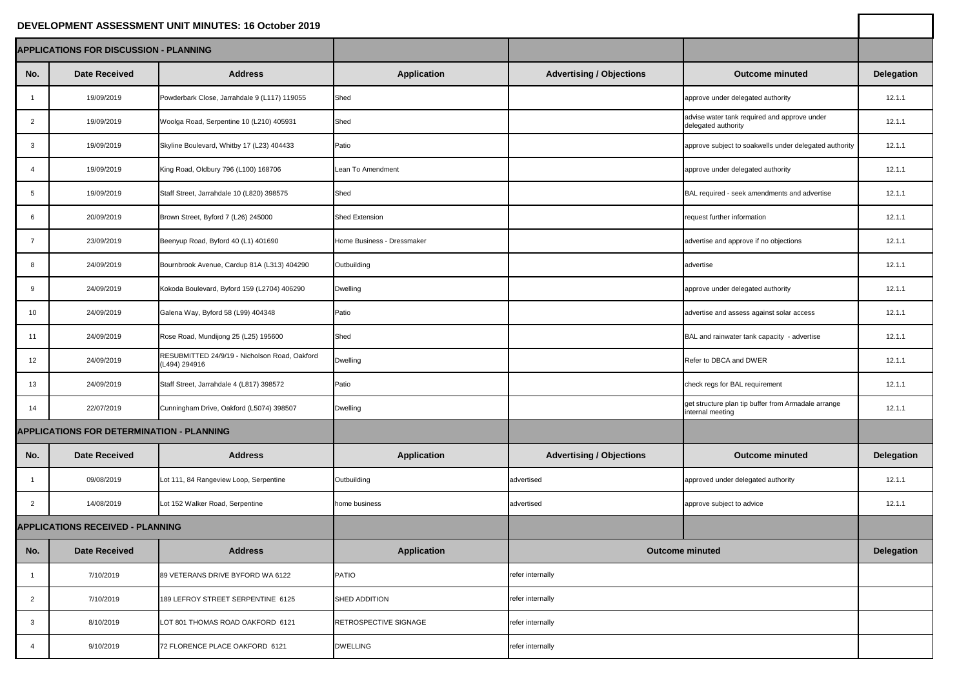## **DEVELOPMENT ASSESSMENT UNIT MINUTES: 16 October 2019**

| DEVELOPMENT ASSESSMENT UNIT MINUTES: 16 October 2019 |                                                  |                                                                |                            |                                 |                                                                         |                   |
|------------------------------------------------------|--------------------------------------------------|----------------------------------------------------------------|----------------------------|---------------------------------|-------------------------------------------------------------------------|-------------------|
| <b>APPLICATIONS FOR DISCUSSION - PLANNING</b>        |                                                  |                                                                |                            |                                 |                                                                         |                   |
| No.                                                  | <b>Date Received</b>                             | <b>Address</b>                                                 | <b>Application</b>         | <b>Advertising / Objections</b> | <b>Outcome minuted</b>                                                  | <b>Delegation</b> |
|                                                      | 19/09/2019                                       | Powderbark Close, Jarrahdale 9 (L117) 119055                   | Shed                       |                                 | approve under delegated authority                                       | 12.1.1            |
| $\overline{2}$                                       | 19/09/2019                                       | Woolga Road, Serpentine 10 (L210) 405931                       | Shed                       |                                 | advise water tank required and approve under<br>delegated authority     | 12.1.1            |
|                                                      | 19/09/2019                                       | Skyline Boulevard, Whitby 17 (L23) 404433                      | Patio                      |                                 | approve subject to soakwells under delegated authority                  | 12.1.1            |
|                                                      | 19/09/2019                                       | King Road, Oldbury 796 (L100) 168706                           | Lean To Amendment          |                                 | approve under delegated authority                                       | 12.1.1            |
|                                                      | 19/09/2019                                       | Staff Street, Jarrahdale 10 (L820) 398575                      | Shed                       |                                 | BAL required - seek amendments and advertise                            | 12.1.1            |
|                                                      | 20/09/2019                                       | Brown Street, Byford 7 (L26) 245000                            | <b>Shed Extension</b>      |                                 | request further information                                             | 12.1.1            |
|                                                      | 23/09/2019                                       | Beenyup Road, Byford 40 (L1) 401690                            | Home Business - Dressmaker |                                 | advertise and approve if no objections                                  | 12.1.1            |
|                                                      | 24/09/2019                                       | Bournbrook Avenue, Cardup 81A (L313) 404290                    | Outbuilding                |                                 | advertise                                                               | 12.1.1            |
| 9                                                    | 24/09/2019                                       | Kokoda Boulevard, Byford 159 (L2704) 406290                    | <b>Dwelling</b>            |                                 | approve under delegated authority                                       | 12.1.1            |
| 10 <sup>°</sup>                                      | 24/09/2019                                       | Galena Way, Byford 58 (L99) 404348                             | Patio                      |                                 | advertise and assess against solar access                               | 12.1.1            |
| 11                                                   | 24/09/2019                                       | Rose Road, Mundijong 25 (L25) 195600                           | Shed                       |                                 | BAL and rainwater tank capacity - advertise                             | 12.1.1            |
| 12                                                   | 24/09/2019                                       | RESUBMITTED 24/9/19 - Nicholson Road, Oakford<br>(L494) 294916 | <b>Dwelling</b>            |                                 | Refer to DBCA and DWER                                                  | 12.1.1            |
| 13                                                   | 24/09/2019                                       | Staff Street, Jarrahdale 4 (L817) 398572                       | Patio                      |                                 | check regs for BAL requirement                                          | 12.1.1            |
| 14                                                   | 22/07/2019                                       | Cunningham Drive, Oakford (L5074) 398507                       | <b>Dwelling</b>            |                                 | get structure plan tip buffer from Armadale arrange<br>internal meeting | 12.1.1            |
|                                                      | <b>APPLICATIONS FOR DETERMINATION - PLANNING</b> |                                                                |                            |                                 |                                                                         |                   |
| No.                                                  | <b>Date Received</b>                             | <b>Address</b>                                                 | <b>Application</b>         | <b>Advertising / Objections</b> | <b>Outcome minuted</b>                                                  | <b>Delegation</b> |
|                                                      | 09/08/2019                                       | Lot 111, 84 Rangeview Loop, Serpentine                         | Outbuilding                | advertised                      | approved under delegated authority                                      | 12.1.1            |
| $\overline{2}$                                       | 14/08/2019                                       | Lot 152 Walker Road, Serpentine                                | home business              | advertised                      | approve subject to advice                                               | 12.1.1            |
| <b>APPLICATIONS RECEIVED - PLANNING</b>              |                                                  |                                                                |                            |                                 |                                                                         |                   |
| No.                                                  | <b>Date Received</b>                             | <b>Address</b>                                                 | <b>Application</b>         | <b>Outcome minuted</b>          |                                                                         | <b>Delegation</b> |
|                                                      | 7/10/2019                                        | 89 VETERANS DRIVE BYFORD WA 6122                               | <b>PATIO</b>               | refer internally                |                                                                         |                   |
| $\overline{2}$                                       | 7/10/2019                                        | 189 LEFROY STREET SERPENTINE 6125                              | SHED ADDITION              | refer internally                |                                                                         |                   |
|                                                      | 8/10/2019                                        | LOT 801 THOMAS ROAD OAKFORD 6121                               | RETROSPECTIVE SIGNAGE      | refer internally                |                                                                         |                   |
|                                                      | 9/10/2019                                        | 72 FLORENCE PLACE OAKFORD 6121                                 | <b>DWELLING</b>            | refer internally                |                                                                         |                   |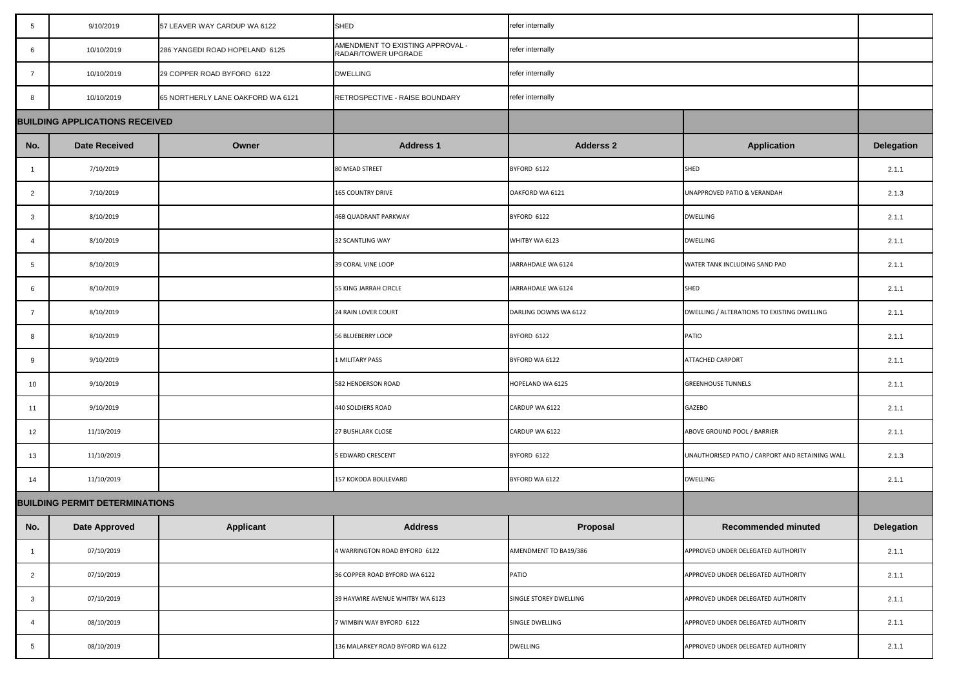| $5\overline{)}$ | 9/10/2019                             | 57 LEAVER WAY CARDUP WA 6122      | <b>SHED</b>                                             | refer internally       |                                                 |                   |
|-----------------|---------------------------------------|-----------------------------------|---------------------------------------------------------|------------------------|-------------------------------------------------|-------------------|
| 6               | 10/10/2019                            | 286 YANGEDI ROAD HOPELAND 6125    | AMENDMENT TO EXISTING APPROVAL -<br>RADAR/TOWER UPGRADE | refer internally       |                                                 |                   |
| $\overline{7}$  | 10/10/2019                            | 29 COPPER ROAD BYFORD 6122        | <b>DWELLING</b>                                         | refer internally       |                                                 |                   |
| 8               | 10/10/2019                            | 65 NORTHERLY LANE OAKFORD WA 6121 | RETROSPECTIVE - RAISE BOUNDARY                          | refer internally       |                                                 |                   |
|                 | <b>BUILDING APPLICATIONS RECEIVED</b> |                                   |                                                         |                        |                                                 |                   |
| No.             | <b>Date Received</b>                  | Owner                             | <b>Address 1</b>                                        | <b>Adderss 2</b>       | <b>Application</b>                              | <b>Delegation</b> |
|                 | 7/10/2019                             |                                   | 80 MEAD STREET                                          | BYFORD 6122            | SHED                                            | 2.1.1             |
| $\overline{2}$  | 7/10/2019                             |                                   | <b>165 COUNTRY DRIVE</b>                                | OAKFORD WA 6121        | <b>UNAPPROVED PATIO &amp; VERANDAH</b>          | 2.1.3             |
| $\mathbf{3}$    | 8/10/2019                             |                                   | 46B QUADRANT PARKWAY                                    | BYFORD 6122            | <b>DWELLING</b>                                 | 2.1.1             |
|                 | 8/10/2019                             |                                   | 32 SCANTLING WAY                                        | WHITBY WA 6123         | <b>DWELLING</b>                                 | 2.1.1             |
| 5               | 8/10/2019                             |                                   | 39 CORAL VINE LOOP                                      | JARRAHDALE WA 6124     | WATER TANK INCLUDING SAND PAD                   | 2.1.1             |
|                 | 8/10/2019                             |                                   | <b>55 KING JARRAH CIRCLE</b>                            | JARRAHDALE WA 6124     | SHED                                            | 2.1.1             |
| -7              | 8/10/2019                             |                                   | 24 RAIN LOVER COURT                                     | DARLING DOWNS WA 6122  | DWELLING / ALTERATIONS TO EXISTING DWELLING     | 2.1.1             |
| 8               | 8/10/2019                             |                                   | 56 BLUEBERRY LOOP                                       | BYFORD 6122            | PATIO                                           | 2.1.1             |
| 9               | 9/10/2019                             |                                   | 1 MILITARY PASS                                         | BYFORD WA 6122         | <b>ATTACHED CARPORT</b>                         | 2.1.1             |
| 10              | 9/10/2019                             |                                   | 582 HENDERSON ROAD                                      | HOPELAND WA 6125       | <b>GREENHOUSE TUNNELS</b>                       | 2.1.1             |
| 11              | 9/10/2019                             |                                   | 440 SOLDIERS ROAD                                       | CARDUP WA 6122         | <b>GAZEBO</b>                                   | 2.1.1             |
| 12              | 11/10/2019                            |                                   | <b>27 BUSHLARK CLOSE</b>                                | CARDUP WA 6122         | ABOVE GROUND POOL / BARRIER                     | 2.1.1             |
| 13              | 11/10/2019                            |                                   | <b>5 EDWARD CRESCENT</b>                                | BYFORD 6122            | UNAUTHORISED PATIO / CARPORT AND RETAINING WALL | 2.1.3             |
| 14              | 11/10/2019                            |                                   | 157 KOKODA BOULEVARD                                    | BYFORD WA 6122         | <b>DWELLING</b>                                 | 2.1.1             |
|                 | <b>BUILDING PERMIT DETERMINATIONS</b> |                                   |                                                         |                        |                                                 |                   |
| No.             | <b>Date Approved</b>                  | <b>Applicant</b>                  | <b>Address</b>                                          | Proposal               | <b>Recommended minuted</b>                      | <b>Delegation</b> |
|                 | 07/10/2019                            |                                   | 4 WARRINGTON ROAD BYFORD 6122                           | AMENDMENT TO BA19/386  | APPROVED UNDER DELEGATED AUTHORITY              | 2.1.1             |
| $\overline{2}$  | 07/10/2019                            |                                   | 36 COPPER ROAD BYFORD WA 6122                           | PATIO                  | APPROVED UNDER DELEGATED AUTHORITY              | 2.1.1             |
| $\mathbf{3}$    | 07/10/2019                            |                                   | 39 HAYWIRE AVENUE WHITBY WA 6123                        | SINGLE STOREY DWELLING | APPROVED UNDER DELEGATED AUTHORITY              | 2.1.1             |
| 4               | 08/10/2019                            |                                   | 7 WIMBIN WAY BYFORD 6122                                | SINGLE DWELLING        | APPROVED UNDER DELEGATED AUTHORITY              | 2.1.1             |
|                 | 08/10/2019                            |                                   | 136 MALARKEY ROAD BYFORD WA 6122                        | <b>DWELLING</b>        | APPROVED UNDER DELEGATED AUTHORITY              | 2.1.1             |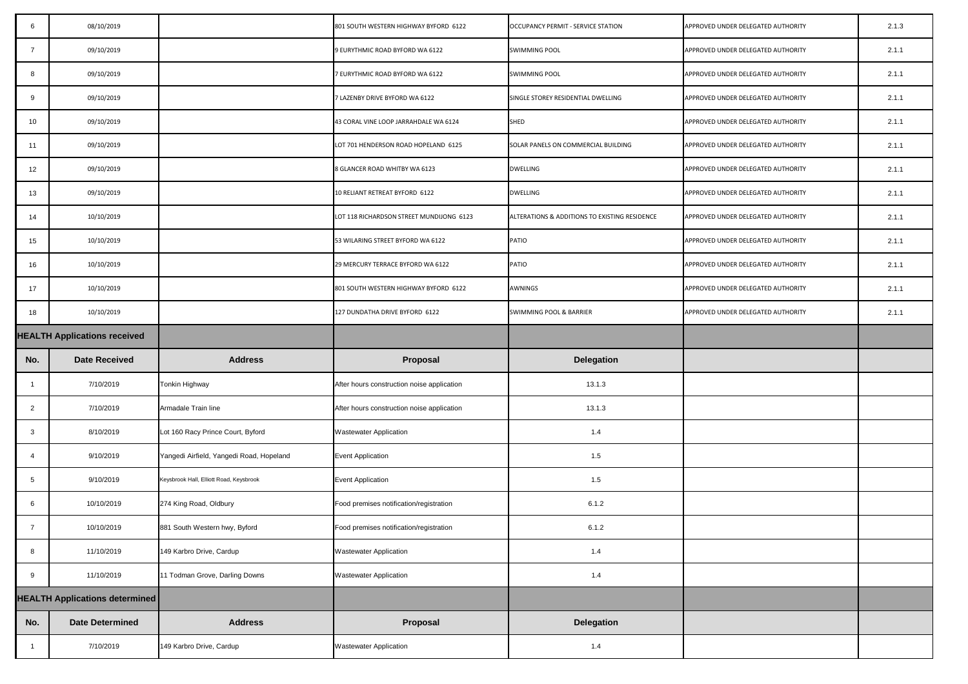| -6              | 08/10/2019                            |                                          | 801 SOUTH WESTERN HIGHWAY BYFORD 6122      | OCCUPANCY PERMIT - SERVICE STATION            | APPROVED UNDER DELEGATED AUTHORITY | 2.1.3 |
|-----------------|---------------------------------------|------------------------------------------|--------------------------------------------|-----------------------------------------------|------------------------------------|-------|
| 7               | 09/10/2019                            |                                          | 9 EURYTHMIC ROAD BYFORD WA 6122            | <b>SWIMMING POOL</b>                          | APPROVED UNDER DELEGATED AUTHORITY | 2.1.1 |
| 8               | 09/10/2019                            |                                          | 7 EURYTHMIC ROAD BYFORD WA 6122            | <b>SWIMMING POOL</b>                          | APPROVED UNDER DELEGATED AUTHORITY | 2.1.1 |
| 9               | 09/10/2019                            |                                          | 7 LAZENBY DRIVE BYFORD WA 6122             | SINGLE STOREY RESIDENTIAL DWELLING            | APPROVED UNDER DELEGATED AUTHORITY | 2.1.1 |
| 10              | 09/10/2019                            |                                          | 43 CORAL VINE LOOP JARRAHDALE WA 6124      | <b>SHED</b>                                   | APPROVED UNDER DELEGATED AUTHORITY | 2.1.1 |
| 11              | 09/10/2019                            |                                          | LOT 701 HENDERSON ROAD HOPELAND 6125       | SOLAR PANELS ON COMMERCIAL BUILDING           | APPROVED UNDER DELEGATED AUTHORITY | 2.1.1 |
| 12 <sub>2</sub> | 09/10/2019                            |                                          | 8 GLANCER ROAD WHITBY WA 6123              | DWELLING                                      | APPROVED UNDER DELEGATED AUTHORITY | 2.1.1 |
| 13              | 09/10/2019                            |                                          | 10 RELIANT RETREAT BYFORD 6122             | <b>DWELLING</b>                               | APPROVED UNDER DELEGATED AUTHORITY | 2.1.1 |
| 14              | 10/10/2019                            |                                          | LOT 118 RICHARDSON STREET MUNDIJONG 6123   | ALTERATIONS & ADDITIONS TO EXISTING RESIDENCE | APPROVED UNDER DELEGATED AUTHORITY | 2.1.1 |
| 15              | 10/10/2019                            |                                          | 53 WILARING STREET BYFORD WA 6122          | PATIO                                         | APPROVED UNDER DELEGATED AUTHORITY | 2.1.1 |
| 16              | 10/10/2019                            |                                          | 29 MERCURY TERRACE BYFORD WA 6122          | PATIO                                         | APPROVED UNDER DELEGATED AUTHORITY | 2.1.1 |
| 17              | 10/10/2019                            |                                          | 801 SOUTH WESTERN HIGHWAY BYFORD 6122      | <b>AWNINGS</b>                                | APPROVED UNDER DELEGATED AUTHORITY | 2.1.1 |
| 18              | 10/10/2019                            |                                          | 127 DUNDATHA DRIVE BYFORD 6122             | SWIMMING POOL & BARRIER                       | APPROVED UNDER DELEGATED AUTHORITY | 2.1.1 |
|                 | <b>HEALTH Applications received</b>   |                                          |                                            |                                               |                                    |       |
| No.             | <b>Date Received</b>                  | <b>Address</b>                           | Proposal                                   | <b>Delegation</b>                             |                                    |       |
|                 | 7/10/2019                             | Tonkin Highway                           | After hours construction noise application | 13.1.3                                        |                                    |       |
| $\overline{2}$  | 7/10/2019                             | Armadale Train line                      | After hours construction noise application | 13.1.3                                        |                                    |       |
| 3               | 8/10/2019                             | Lot 160 Racy Prince Court, Byford        | <b>Wastewater Application</b>              | 1.4                                           |                                    |       |
| -4              | 9/10/2019                             | Yangedi Airfield, Yangedi Road, Hopeland | <b>Event Application</b>                   | 1.5                                           |                                    |       |
| 5               | 9/10/2019                             | Keysbrook Hall, Elliott Road, Keysbrook  | <b>Event Application</b>                   | 1.5                                           |                                    |       |
| 6               | 10/10/2019                            | 274 King Road, Oldbury                   | Food premises notification/registration    | 6.1.2                                         |                                    |       |
| $\overline{7}$  | 10/10/2019                            | 881 South Western hwy, Byford            | Food premises notification/registration    | 6.1.2                                         |                                    |       |
| 8               | 11/10/2019                            | 149 Karbro Drive, Cardup                 | <b>Wastewater Application</b>              | 1.4                                           |                                    |       |
| 9               | 11/10/2019                            | 11 Todman Grove, Darling Downs           | <b>Wastewater Application</b>              | 1.4                                           |                                    |       |
|                 | <b>HEALTH Applications determined</b> |                                          |                                            |                                               |                                    |       |
| No.             | <b>Date Determined</b>                | <b>Address</b>                           | Proposal                                   | <b>Delegation</b>                             |                                    |       |
|                 | 7/10/2019                             | 149 Karbro Drive, Cardup                 | <b>Wastewater Application</b>              | 1.4                                           |                                    |       |